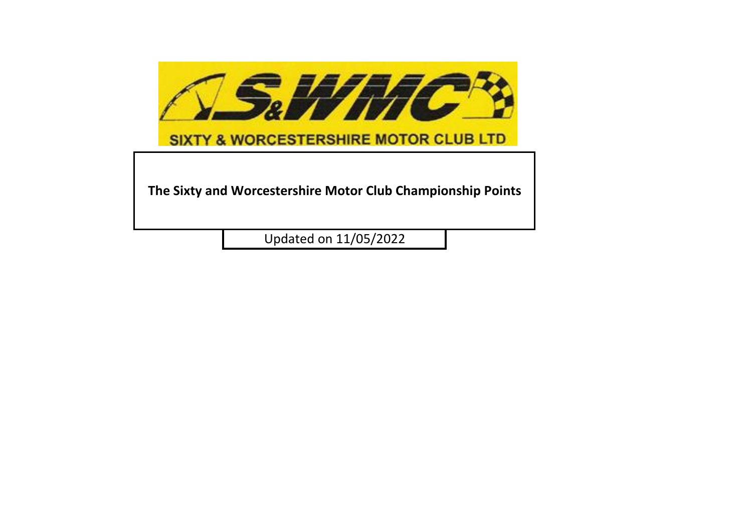

**The Sixty and Worcestershire Motor Club Championship Points**

Updated on 11/05/2022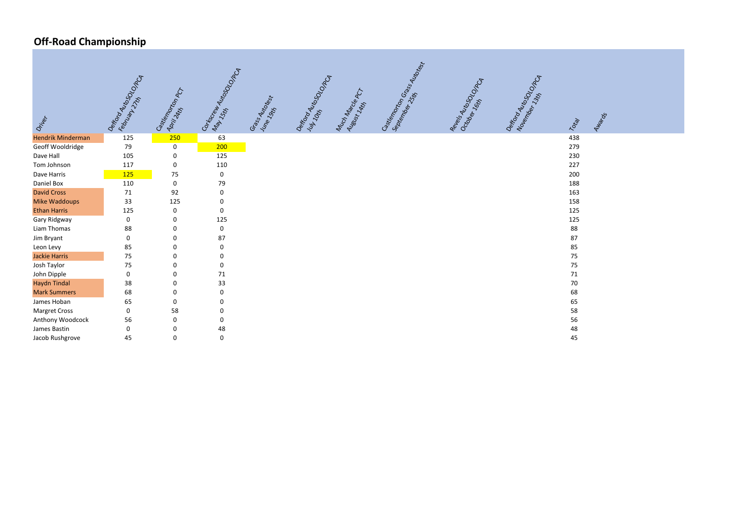## **Off-Road Championship**



| Oritor                   | Dept of MutoSocial Data<br>February 11/15 | Gastlempoton PCT | Gordon Miltogologia | Grass Mutorstar<br>June 19th | Defiting Mutator Condition | Mach Marcia PCT<br>August 14H | Gstremonton Cassalings | Reversion Motorcy | Defiting Mutasor<br>Nouverlands | Total |
|--------------------------|-------------------------------------------|------------------|---------------------|------------------------------|----------------------------|-------------------------------|------------------------|-------------------|---------------------------------|-------|
| <b>Hendrik Minderman</b> | 125                                       | 250              | 63                  |                              |                            |                               |                        |                   |                                 | 438   |
| Geoff Wooldridge         | 79                                        | $\pmb{0}$        | 200                 |                              |                            |                               |                        |                   |                                 | 279   |
| Dave Hall                | 105                                       | $\mathbf 0$      | 125                 |                              |                            |                               |                        |                   |                                 | 230   |
| Tom Johnson              | 117                                       | $\mathbf 0$      | 110                 |                              |                            |                               |                        |                   |                                 | 227   |
| Dave Harris              | 125                                       | 75               | 0                   |                              |                            |                               |                        |                   |                                 | 200   |
| Daniel Box               | 110                                       | $\boldsymbol{0}$ | 79                  |                              |                            |                               |                        |                   |                                 | 188   |
| <b>David Cross</b>       | 71                                        | 92               | $\pmb{0}$           |                              |                            |                               |                        |                   |                                 | 163   |
| <b>Mike Waddoups</b>     | 33                                        | 125              | 0                   |                              |                            |                               |                        |                   |                                 | 158   |
| <b>Ethan Harris</b>      | 125                                       | $\mathbf 0$      | 0                   |                              |                            |                               |                        |                   |                                 | 125   |
| Gary Ridgway             | $\mathbf 0$                               | 0                | 125                 |                              |                            |                               |                        |                   |                                 | 125   |
| Liam Thomas              | 88                                        | 0                | 0                   |                              |                            |                               |                        |                   |                                 | 88    |
| Jim Bryant               | $\mathbf 0$                               | 0                | 87                  |                              |                            |                               |                        |                   |                                 | 87    |
| Leon Levy                | 85                                        | 0                | 0                   |                              |                            |                               |                        |                   |                                 | 85    |
| <b>Jackie Harris</b>     | 75                                        | $\mathbf 0$      | 0                   |                              |                            |                               |                        |                   |                                 | 75    |
| Josh Taylor              | 75                                        | $\Omega$         | $\pmb{0}$           |                              |                            |                               |                        |                   |                                 | 75    |
| John Dipple              | $\mathbf 0$                               | 0                | $71\,$              |                              |                            |                               |                        |                   |                                 | 71    |
| <b>Haydn Tindal</b>      | 38                                        | $\mathbf 0$      | 33                  |                              |                            |                               |                        |                   |                                 | 70    |
| <b>Mark Summers</b>      | 68                                        | 0                | 0                   |                              |                            |                               |                        |                   |                                 | 68    |
| James Hoban              | 65                                        | $\mathbf 0$      | 0                   |                              |                            |                               |                        |                   |                                 | 65    |
| <b>Margret Cross</b>     | $\mathbf 0$                               | 58               | 0                   |                              |                            |                               |                        |                   |                                 | 58    |
| Anthony Woodcock         | 56                                        | 0                | 0                   |                              |                            |                               |                        |                   |                                 | 56    |
| James Bastin             | $\pmb{0}$                                 | $\pmb{0}$        | 48                  |                              |                            |                               |                        |                   |                                 | 48    |
| Jacob Rushgrove          | 45                                        | $\mathbf 0$      | 0                   |                              |                            |                               |                        |                   |                                 | 45    |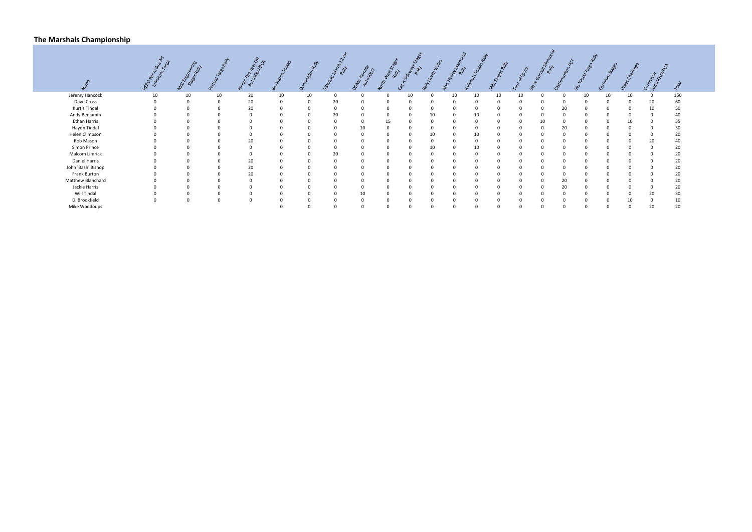#### **The Marshals Championship**



|                      | $R_{\rm c}$ | Gyenne |    | idiri Tre Ve |    |    | Naprov<br>WWC | DIAC Kemple | <b>HAMA</b> | it Sidewa<br>$\widetilde{\sigma}$ | North 12 | See Asian | ts Stag |          |    |          |          | $u_{\rm o}$<br>చ |    |    | OTKSCRIPT | Total |
|----------------------|-------------|--------|----|--------------|----|----|---------------|-------------|-------------|-----------------------------------|----------|-----------|---------|----------|----|----------|----------|------------------|----|----|-----------|-------|
| Jeremy Hancock       | 10          | 10     | 10 | 20           | 10 | 10 | $\mathbf 0$   | $\Omega$    | $\Omega$    | 10                                | $\Omega$ | 10        | 10      | 10       | 10 | $\Omega$ | $\Omega$ | 10               | 10 | 10 |           | 150   |
| Dave Cross           |             |        |    | 20           |    |    | 20            |             |             |                                   |          |           |         |          |    |          | - 0      |                  |    |    | 20        | 60    |
| <b>Kurtis Tindal</b> |             |        |    | 20           |    |    |               |             |             |                                   |          |           |         |          |    |          | 20       |                  |    |    |           | 50    |
| Andy Benjamin        |             |        |    |              |    |    | 20            |             |             |                                   | 10       |           | 10      |          |    |          |          |                  |    |    |           | 40    |
| Ethan Harris         |             |        |    |              |    |    | $\Omega$      |             | 15          |                                   |          |           |         | $\Omega$ |    | 10       | - 0      |                  |    | 10 |           | 35    |
| Haydn Tindal         |             |        |    |              |    |    |               |             |             |                                   |          |           |         |          |    |          | 20       |                  |    |    |           | 30    |
| Helen Climpson       |             |        |    |              |    |    |               |             |             | 0                                 | 10       |           | 10      |          |    |          | $\Omega$ |                  |    |    |           | 20    |
| Rob Mason            |             |        |    | 20           |    |    |               |             |             |                                   |          |           |         |          |    |          |          |                  |    |    |           | 40    |
| Simon Prince         |             |        |    |              |    |    |               |             |             | $\Omega$                          | 10       |           | 10      |          |    |          | - 0      |                  |    |    |           | 20    |
| Malcom Limrick       |             |        |    |              |    |    | 20            |             |             |                                   |          |           |         |          |    |          |          |                  |    |    |           | 20    |
| Daniel Harris        |             |        |    | 20           |    |    |               |             |             |                                   |          |           |         |          |    |          |          |                  |    |    |           | 20    |
| John 'Bash' Bishop   |             |        |    | 20           |    |    |               |             |             |                                   |          |           |         |          |    |          |          |                  |    |    |           | 20    |
| Frank Burton         |             |        |    | 20           |    |    |               |             |             |                                   |          |           |         |          |    |          | $\Omega$ |                  |    |    |           | 20    |
| Matthew Blanchard    |             |        |    |              |    |    |               |             |             |                                   |          |           |         |          |    |          | 20       |                  |    |    |           | 20    |
| Jackie Harris        |             |        |    |              |    |    |               |             |             |                                   |          |           |         |          |    |          | 20       |                  |    |    |           | 20    |
| Will Tindal          |             |        |    |              |    |    |               |             |             |                                   |          |           |         |          |    |          |          |                  |    |    |           | 30    |
| Di Brookfield        |             |        |    | $\Omega$     |    |    | $\Omega$      |             | $\Omega$    | $\Omega$                          |          |           |         | $\Omega$ |    |          |          |                  |    | 10 |           | 10    |
| Mike Waddoups        |             |        |    |              |    |    | $\Omega$      |             |             |                                   |          |           |         | $\Omega$ |    |          |          |                  |    |    | 20        | 20    |
|                      |             |        |    |              |    |    |               |             |             |                                   |          |           |         |          |    |          |          |                  |    |    |           |       |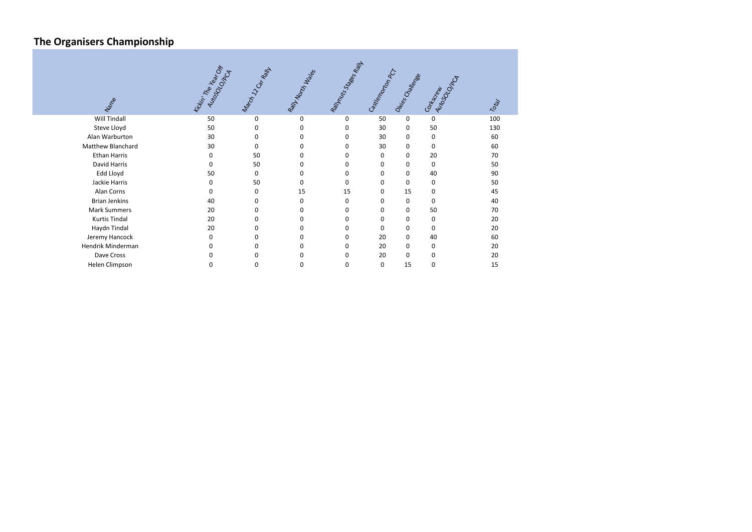# **The Organisers Championship**

| Name                 | fickin' The Vegr Off<br>Autoso Data | March 12 Garage | Raily North Walks | Rally Mutts Seec Rally | Gstrenger Deck | Diriso Challege | Autosocial<br><b>Corkcccccc</b> | 70tg/ |
|----------------------|-------------------------------------|-----------------|-------------------|------------------------|----------------|-----------------|---------------------------------|-------|
| <b>Will Tindall</b>  | 50                                  | $\mathbf 0$     | 0                 | 0                      | 50             | 0               | 0                               | 100   |
| Steve Lloyd          | 50                                  | 0               | 0                 | 0                      | 30             | 0               | 50                              | 130   |
| Alan Warburton       | 30                                  | 0               | 0                 | 0                      | 30             | 0               | 0                               | 60    |
| Matthew Blanchard    | 30                                  | 0               | 0                 | 0                      | 30             | 0               | 0                               | 60    |
| <b>Ethan Harris</b>  | $\Omega$                            | 50              | 0                 | 0                      | 0              | 0               | 20                              | 70    |
| David Harris         | 0                                   | 50              | 0                 | 0                      | 0              | 0               | 0                               | 50    |
| Edd Lloyd            | 50                                  | 0               | 0                 | 0                      | 0              | 0               | 40                              | 90    |
| Jackie Harris        | 0                                   | 50              | 0                 | 0                      | 0              | 0               | 0                               | 50    |
| Alan Corns           | 0                                   | 0               | 15                | 15                     | $\Omega$       | 15              | 0                               | 45    |
| <b>Brian Jenkins</b> | 40                                  | 0               | 0                 | 0                      | $\Omega$       | $\mathbf 0$     | 0                               | 40    |
| <b>Mark Summers</b>  | 20                                  | 0               | 0                 | 0                      | 0              | 0               | 50                              | 70    |
| <b>Kurtis Tindal</b> | 20                                  | 0               | 0                 | 0                      | 0              | 0               | 0                               | 20    |
| Haydn Tindal         | 20                                  | 0               | 0                 | 0                      | 0              | 0               | 0                               | 20    |
| Jeremy Hancock       | 0                                   | 0               | 0                 | 0                      | 20             | 0               | 40                              | 60    |
| Hendrik Minderman    | 0                                   | 0               | 0                 | 0                      | 20             | 0               | 0                               | 20    |
| Dave Cross           |                                     | 0               |                   | 0                      | 20             | $\mathbf 0$     | 0                               | 20    |
| Helen Climpson       | 0                                   | 0               | 0                 | 0                      | 0              | 15              | 0                               | 15    |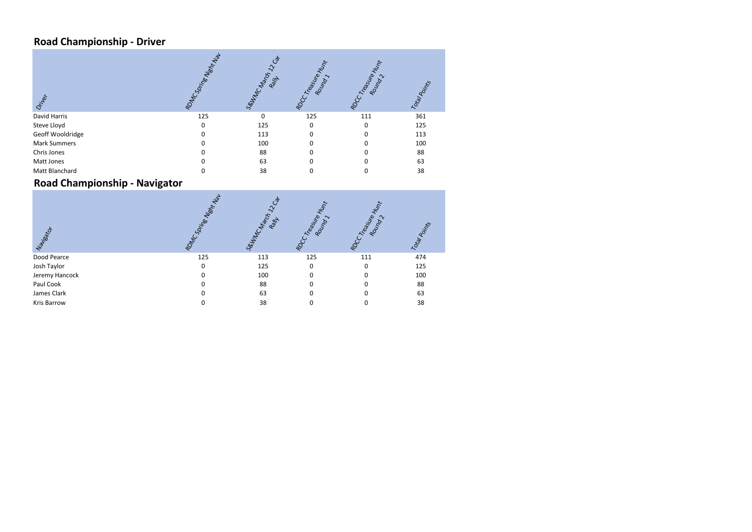## **Road Championship - Driver**

| Driver              | Nisht Nav<br><b>MCSortige</b><br>RDN | Seutre Capitol<br><b>Relf</b> | Treasure<br>Round | Treatifie<br>Round<br>Ř | Total Points |
|---------------------|--------------------------------------|-------------------------------|-------------------|-------------------------|--------------|
| David Harris        | 125                                  | 0                             | 125               | 111                     | 361          |
| Steve Lloyd         | <sup>0</sup>                         | 125                           | $\Omega$          | $\Omega$                | 125          |
| Geoff Wooldridge    |                                      | 113                           | $\Omega$          |                         | 113          |
| <b>Mark Summers</b> |                                      | 100                           | <sup>0</sup>      |                         | 100          |
| Chris Jones         |                                      | 88                            |                   |                         | 88           |
| Matt Jones          |                                      | 63                            |                   |                         | 63           |
| Matt Blanchard      |                                      | 38                            |                   |                         | 38           |

#### **Road Championship - Navigator**

| Naurisco       | Jay<br><b>Inc. Springer Western</b><br>$\delta$ | Seultraches Cr.<br>Ray | Treasure<br>Round<br>RDCC | Treatyre<br>Roundry<br>$\approx$ | Total Points |
|----------------|-------------------------------------------------|------------------------|---------------------------|----------------------------------|--------------|
| Dood Pearce    | 125                                             | 113                    | 125                       | 111                              | 474          |
| Josh Taylor    | $\Omega$                                        | 125                    | $\Omega$                  | $\Omega$                         | 125          |
| Jeremy Hancock |                                                 | 100                    |                           |                                  | 100          |
| Paul Cook      |                                                 | 88                     |                           |                                  | 88           |
| James Clark    |                                                 | 63                     |                           |                                  | 63           |
| Kris Barrow    |                                                 | 38                     |                           |                                  | 38           |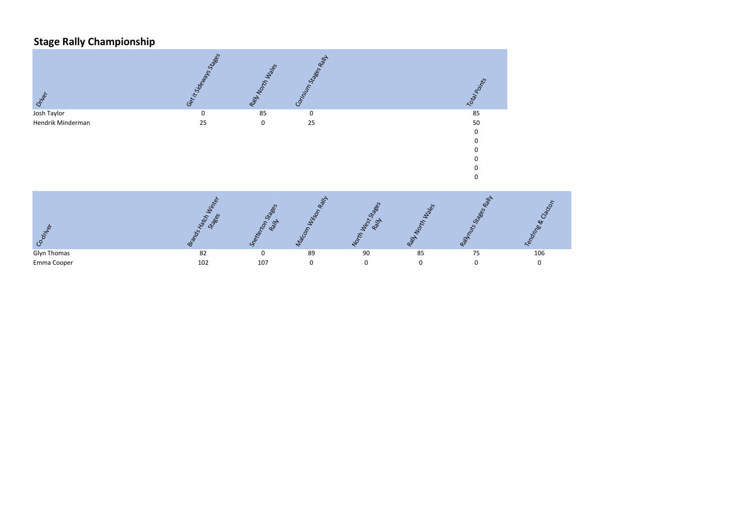## **Stage Rally Championship**